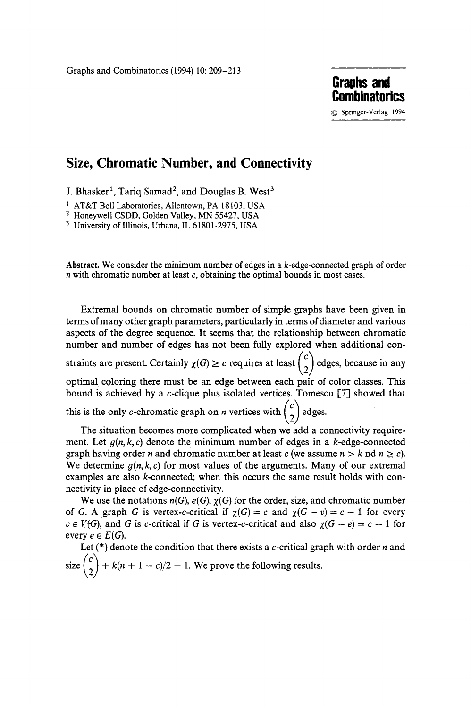**Graphs and Combinatorics**  9 Springer-Verlag 1994

## **Size, Chromatic Number, and Connectivity**

J. Bhasker<sup>1</sup>, Tariq Samad<sup>2</sup>, and Douglas B. West<sup>3</sup>

i AT&T Bell Laboratories, Allentown, PA 18103, USA

<sup>2</sup> Honeywell CSDD, Golden Valley, MN 55427, USA

3 University of Illinois, Urbana, IL 61801-2975, USA

**Abstract.** We consider the minimum number of edges in a k-edge-connected graph of order n with chromatic number at least c, obtaining the optimal bounds in most cases.

Extremal bounds on chromatic number of simple graphs have been given in terms of many other graph parameters, particularly in terms of diameter and various aspects of the degree sequence. It seems that the relationship between chromatic number and number of edges has not been fully explored when additional constraints are present. Certainly  $\chi(G) \geq c$  requires at least  $\binom{c}{2}$  edges, because in any optimal coloring there must be an edge between each pair of color classes. This bound is achieved by a c-clique plus isolated vertices. Tomescu [7] showed that this is the only c-chromatic graph on n vertices with  $\binom{c}{2}$  edges.

The situation becomes more complicated when we add a connectivity requirement. Let  $g(n, k, c)$  denote the minimum number of edges in a k-edge-connected graph having order n and chromatic number at least c (we assume  $n > k$  nd  $n \ge c$ ). We determine  $g(n, k, c)$  for most values of the arguments. Many of our extremal examples are also k-connected; when this occurs the same result holds with connectivity in place of edge-connectivity.

We use the notations  $n(G)$ ,  $e(G)$ ,  $\gamma(G)$  for the order, size, and chromatic number of G. A graph G is vertex-c-critical if  $\gamma(G) = c$  and  $\gamma(G - v) = c - 1$  for every  $v \in V(G)$ , and G is c-critical if G is vertex-c-critical and also  $\gamma(G - e) = c - 1$  for every  $e \in E(G)$ .

Let  $(*)$  denote the condition that there exists a c-critical graph with order n and size  $\binom{c}{2}$  + k(n + 1 - c)/2 - 1. We prove the following results.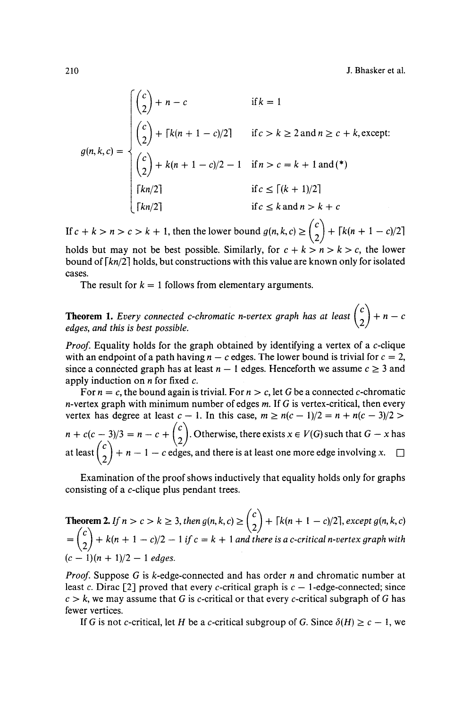210 **J. Bhasker et al.** 

$$
g(n,k,c) = \begin{cases} {c \choose 2} + n - c & \text{if } k = 1 \\ {c \choose 2} + \lceil k(n + 1 - c)/2 \rceil & \text{if } c > k \ge 2 \text{ and } n \ge c + k, \text{except:} \\ {c \choose 2} + k(n + 1 - c)/2 - 1 & \text{if } n > c = k + 1 \text{ and } (*) \\ \lceil kn/2 \rceil & \text{if } c \le \lceil (k + 1)/2 \rceil \\ \lceil kn/2 \rceil & \text{if } c \le k \text{ and } n > k + c \end{cases}
$$

*If*  $c + k > n > c > k + 1$ , then the lower bound  $g(n, k, c) \geq {c \choose 2} + \lceil k(n + 1 - c)/2 \rceil$ holds but may not be best possible. Similarly, for  $c + k > n > k > c$ , the lower bound of *[kn/2]* holds, but constructions with this value are known only for isolated cases.

The result for  $k = 1$  follows from elementary arguments.

**Theorem 1.** Every connected c-chromatic n-vertex graph has at least  $\begin{pmatrix} c \\ 2 \end{pmatrix}$  + n – c *edges, and this is best possible.* 

*Proof.* Equality holds for the graph obtained by identifying a vertex of a c-clique with an endpoint of a path having  $n - c$  edges. The lower bound is trivial for  $c = 2$ , since a connected graph has at least  $n - 1$  edges. Henceforth we assume  $c \ge 3$  and apply induction on  $n$  for fixed  $c$ .

For  $n = c$ , the bound again is trivial. For  $n > c$ , let G be a connected c-chromatic  $n$ -vertex graph with minimum number of edges  $m$ . If  $G$  is vertex-critical, then every vertex has degree at least  $c - 1$ . In this case,  $m \ge n(c - 1)/2 = n + n(c - 3)/2$  $n + c(c-3)/3 = n - c + {s \choose 2}$ . Otherwise, there exists  $x \in V(G)$  such that  $G - x$  has at least  ${c \choose 2} + n - 1 - c$  edges, and there is at least one more edge involving x.

Examination of the proof shows inductively that equality holds only for graphs consisting of a c-clique plus pendant trees.

**Theorem 2.** If 
$$
n > c > k \ge 3
$$
, then  $g(n, k, c) \ge {c \choose 2} + \lceil k(n + 1 - c)/2 \rceil$ , except  $g(n, k, c)$   
=  ${c \choose 2} + k(n + 1 - c)/2 - 1$  if  $c = k + 1$  and there is a c-critical *n*-vertex graph with  $(c - 1)(n + 1)/2 - 1$  edges.

*Proof.* Suppose G is k-edge-connected and has order n and chromatic number at least c. Dirac [2] proved that every c-critical graph is  $c - 1$ -edge-connected; since  $c > k$ , we may assume that G is c-critical or that every c-critical subgraph of G has fewer vertices.

If G is not c-critical, let H be a c-critical subgroup of G. Since  $\delta(H) \geq c - 1$ , we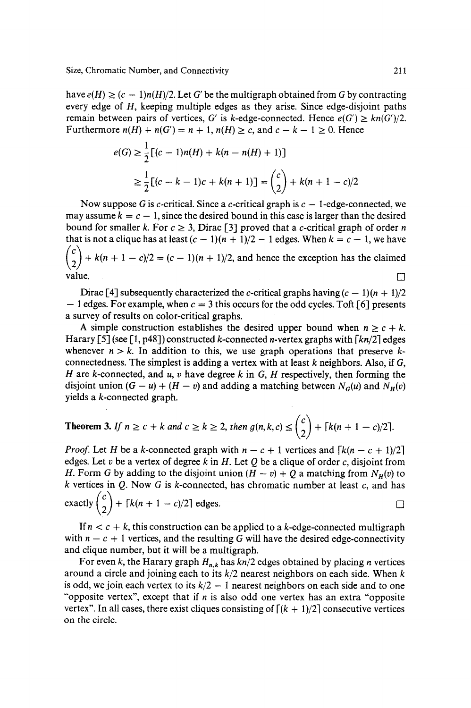Size, Chromatic Number, and Connectivity 211

have  $e(H) \ge (c - 1)n(H)/2$ . Let G' be the multigraph obtained from G by contracting every edge of H, keeping multiple edges as they arise. Since edge-disjoint paths remain between pairs of vertices, *G'* is k-edge-connected. Hence  $e(G') \geq kn(G')/2$ . Furthermore  $n(H) + n(G') = n + 1$ ,  $n(H) \ge c$ , and  $c - k - 1 \ge 0$ . Hence

$$
e(G) \ge \frac{1}{2} [(c-1)n(H) + k(n - n(H) + 1)]
$$
  
 
$$
\ge \frac{1}{2} [(c - k - 1)c + k(n + 1)] = {c \choose 2} + k(n + 1 - c)/2
$$

Now suppose G is c-critical. Since a c-critical graph is  $c - 1$ -edge-connected, we may assume  $k = c - 1$ , since the desired bound in this case is larger than the desired bound for smaller k. For  $c \geq 3$ , Dirac [3] proved that a c-critical graph of order n that is not a clique has at least  $(c - 1)(n + 1)/2 - 1$  edges. When  $k = c - 1$ , we have  $\langle \rangle$  $(k(n+1-c)/2 = (c-1)(n+1)/2$ , and hence the exception has the claimed  $\lambda$ value.  $\Box$ 

Dirac [4] subsequently characterized the c-critical graphs having  $(c - 1)(n + 1)/2$  $-1$  edges. For example, when  $c = 3$  this occurs for the odd cycles. Toft [6] presents a survey of results on color-critical graphs.

A simple construction establishes the desired upper bound when  $n \geq c + k$ . Harary [5] (see [1, p48]) constructed k-connected n-vertex graphs with  $\lceil kn/2 \rceil$  edges whenever  $n > k$ . In addition to this, we use graph operations that preserve kconnectedness. The simplest is adding a vertex with at least  $k$  neighbors. Also, if  $G$ , H are k-connected, and u, v have degree k in  $G$ , H respectively, then forming the disjoint union  $(G - u) + (H - v)$  and adding a matching between  $N_G(u)$  and  $N_H(v)$ yields a k-connected graph.

**Theorem 3.** If 
$$
n \ge c + k
$$
 and  $c \ge k \ge 2$ , then  $g(n, k, c) \le {c \choose 2} + \lceil k(n + 1 - c)/2 \rceil$ .

*Proof.* Let *H* be a *k*-connected graph with  $n - c + 1$  vertices and  $\lceil k(n - c + 1)/2 \rceil$ edges. Let v be a vertex of degree k in H. Let  $Q$  be a clique of order c, disjoint from H. Form G by adding to the disjoint union  $(H - v) + Q$  a matching from  $N_H(v)$  to  $k$  vertices in  $Q$ . Now  $G$  is  $k$ -connected, has chromatic number at least  $c$ , and has exactly  $\binom{c}{2}$  +  $\lceil k(n+1-c)/2 \rceil$  edges.  $\Box$ 

If  $n < c + k$ , this construction can be applied to a k-edge-connected multigraph with  $n - c + 1$  vertices, and the resulting G will have the desired edge-connectivity and clique number, but it will be a multigraph.

For even k, the Harary graph  $H_{n,k}$  has  $kn/2$  edges obtained by placing n vertices around a circle and joining each to its *k/2* nearest neighbors on each side. When k is odd, we join each vertex to its  $k/2 - 1$  nearest neighbors on each side and to one "opposite vertex", except that if  $n$  is also odd one vertex has an extra "opposite" vertex". In all cases, there exist cliques consisting of  $[(k + 1)/2]$  consecutive vertices on the circle.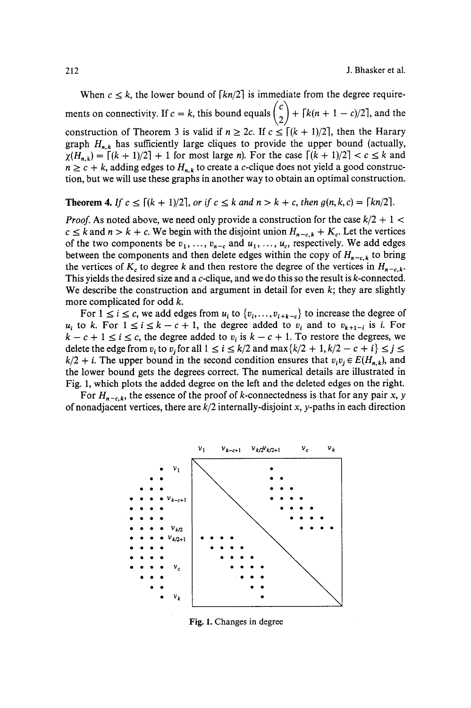When  $c \le k$ , the lower bound of  $\lceil kn/2 \rceil$  is immediate from the degree requirements on connectivity. If  $c = k$ , this bound equals  $\binom{c}{2} + \lceil k(n+1-c)/2 \rceil$ , and the construction of Theorem 3 is valid if  $n \ge 2c$ . If  $c \le [(k + 1)/2]$ , then the Harary graph  $H_{n,k}$  has sufficiently large cliques to provide the upper bound (actually,  $\chi(H_{n,k}) = \lceil (k+1)/2 \rceil + 1$  for most large n). For the case  $\lceil (k+1)/2 \rceil < c \leq k$  and  $n \geq c + k$ , adding edges to  $H_{n,k}$  to create a c-clique does not yield a good construction, but we will use these graphs in another way to obtain an optimal construction.

## **Theorem 4.** If  $c \leq [(k + 1)/2]$ , or if  $c \leq k$  and  $n > k + c$ , then  $g(n, k, c) = \lceil kn/2 \rceil$ .

*Proof.* As noted above, we need only provide a construction for the case  $k/2 + 1 <$  $c \le k$  and  $n > k + c$ . We begin with the disjoint union  $H_{n-c,k} + K_c$ . Let the vertices of the two components be  $v_1, \ldots, v_{n-c}$  and  $u_1, \ldots, u_c$ , respectively. We add edges between the components and then delete edges within the copy of  $H_{n-\epsilon,k}$  to bring the vertices of  $K_c$  to degree k and then restore the degree of the vertices in  $H_{n-c,k}$ . This yields the desired size and a c-clique, and we do this so the result is k-connected. We describe the construction and argument in detail for even  $k$ ; they are slightly more complicated for odd k.

For  $1 \le i \le c$ , we add edges from  $u_i$  to  $\{v_i, \ldots, v_{i+k-c}\}\$  to increase the degree of  $u_i$  to k. For  $1 \le i \le k-c+1$ , the degree added to  $v_i$  and to  $v_{k+1-i}$  is i. For  $k - c + 1 \le i \le c$ , the degree added to  $v_i$  is  $k - c + 1$ . To restore the degrees, we delete the edge from  $v_i$  to  $v_j$  for all  $1 \le i \le k/2$  and  $\max\{k/2 + 1, k/2 - c + i\} \le j \le k/2$  $k/2 + i$ . The upper bound in the second condition ensures that  $v_i v_j \in E(H_{n,k})$ , and the lower bound gets the degrees correct. The numerical details are illustrated in Fig. 1, which plots the added degree on the left and the deleted edges on the right.

For  $H_{n-c,k}$ , the essence of the proof of k-connectedness is that for any pair x, y of nonadjacent vertices, there are  $k/2$  internally-disjoint x, y-paths in each direction



Fig. 1. Changes in degree